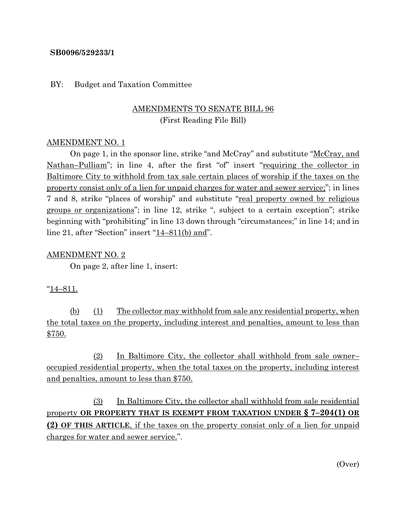#### **SB0096/529233/1**

#### BY: Budget and Taxation Committee

# AMENDMENTS TO SENATE BILL 96 (First Reading File Bill)

#### AMENDMENT NO. 1

On page 1, in the sponsor line, strike "and McCray" and substitute "McCray, and Nathan–Pulliam"; in line 4, after the first "of" insert "requiring the collector in Baltimore City to withhold from tax sale certain places of worship if the taxes on the property consist only of a lien for unpaid charges for water and sewer service;"; in lines 7 and 8, strike "places of worship" and substitute "real property owned by religious groups or organizations"; in line 12, strike ", subject to a certain exception"; strike beginning with "prohibiting" in line 13 down through "circumstances;" in line 14; and in line 21, after "Section" insert "14–811(b) and".

#### AMENDMENT NO. 2

On page 2, after line 1, insert:

## "14–811.

(b) (1) The collector may withhold from sale any residential property, when the total taxes on the property, including interest and penalties, amount to less than \$750.

(2) In Baltimore City, the collector shall withhold from sale owner– occupied residential property, when the total taxes on the property, including interest and penalties, amount to less than \$750.

(3) In Baltimore City, the collector shall withhold from sale residential property **OR PROPERTY THAT IS EXEMPT FROM TAXATION UNDER § 7–204(1) OR (2) OF THIS ARTICLE**, if the taxes on the property consist only of a lien for unpaid charges for water and sewer service.".

(Over)